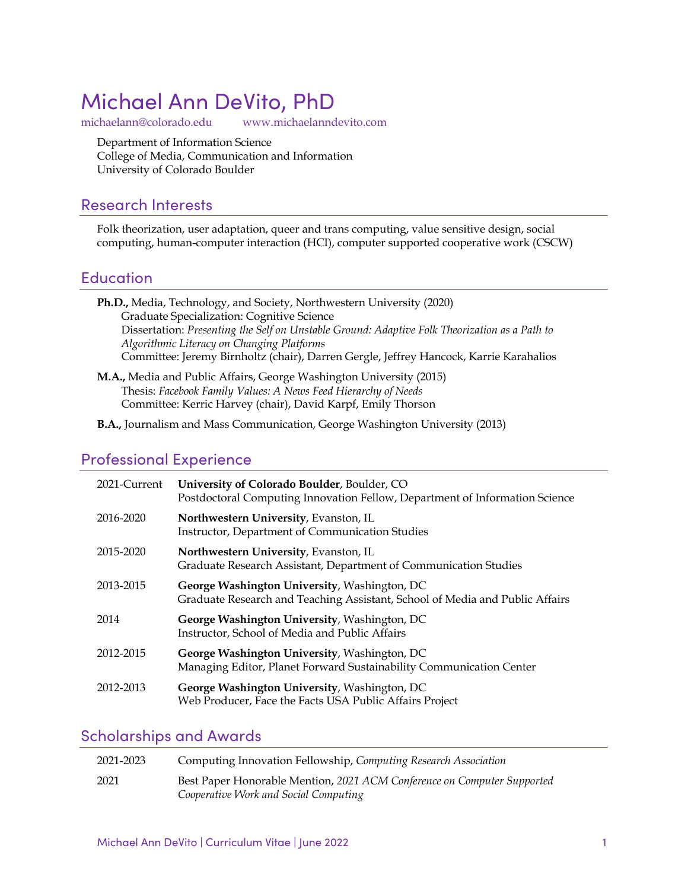# Michael Ann DeVito, PhD

michaelann@colorado.edu www.michaelanndevito.com

Department of Information Science College of Media, Communication and Information University of Colorado Boulder

# Research Interests

Folk theorization, user adaptation, queer and trans computing, value sensitive design, social computing, human-computer interaction (HCI), computer supported cooperative work (CSCW)

# **Education**

**Ph.D.,** Media, Technology, and Society, Northwestern University (2020) Graduate Specialization: Cognitive Science Dissertation: *Presenting the Self on Unstable Ground: Adaptive Folk Theorization as a Path to Algorithmic Literacy on Changing Platforms* Committee: Jeremy Birnholtz (chair), Darren Gergle, Jeffrey Hancock, Karrie Karahalios

- **M.A.,** Media and Public Affairs, George Washington University (2015) Thesis: *Facebook Family Values: A News Feed Hierarchy of Needs* Committee: Kerric Harvey (chair), David Karpf, Emily Thorson
- **B.A.,** Journalism and Mass Communication, George Washington University (2013)

# Professional Experience

| 2021-Current | University of Colorado Boulder, Boulder, CO<br>Postdoctoral Computing Innovation Fellow, Department of Information Science   |
|--------------|------------------------------------------------------------------------------------------------------------------------------|
| 2016-2020    | Northwestern University, Evanston, IL<br>Instructor, Department of Communication Studies                                     |
| 2015-2020    | Northwestern University, Evanston, IL<br>Graduate Research Assistant, Department of Communication Studies                    |
| 2013-2015    | George Washington University, Washington, DC<br>Graduate Research and Teaching Assistant, School of Media and Public Affairs |
| 2014         | George Washington University, Washington, DC<br>Instructor, School of Media and Public Affairs                               |
| 2012-2015    | George Washington University, Washington, DC<br>Managing Editor, Planet Forward Sustainability Communication Center          |
| 2012-2013    | George Washington University, Washington, DC<br>Web Producer, Face the Facts USA Public Affairs Project                      |

# Scholarships and Awards

| 2021-2023 | Computing Innovation Fellowship, Computing Research Association                                                  |
|-----------|------------------------------------------------------------------------------------------------------------------|
| 2021      | Best Paper Honorable Mention, 2021 ACM Conference on Computer Supported<br>Cooperative Work and Social Computing |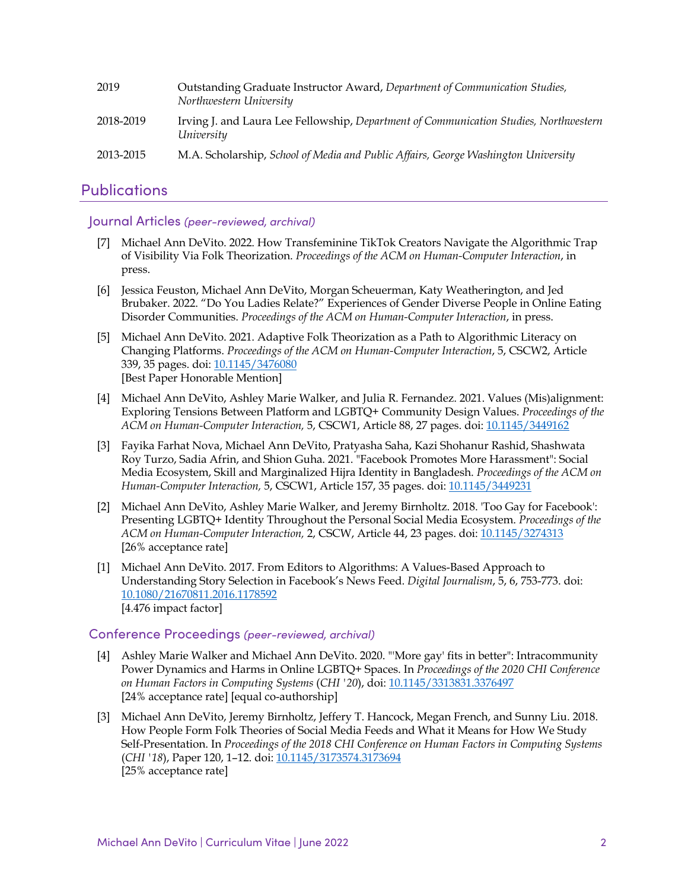| 2019      | Outstanding Graduate Instructor Award, Department of Communication Studies,<br>Northwestern University |
|-----------|--------------------------------------------------------------------------------------------------------|
| 2018-2019 | Irving J. and Laura Lee Fellowship, Department of Communication Studies, Northwestern<br>University    |
| 2013-2015 | M.A. Scholarship, School of Media and Public Affairs, George Washington University                     |

# **Publications**

#### Journal Articles *(peer-reviewed, archival)*

- [7] Michael Ann DeVito. 2022. How Transfeminine TikTok Creators Navigate the Algorithmic Trap of Visibility Via Folk Theorization. *Proceedings of the ACM on Human-Computer Interaction*, in press.
- [6] Jessica Feuston, Michael Ann DeVito, Morgan Scheuerman, Katy Weatherington, and Jed Brubaker. 2022. "Do You Ladies Relate?" Experiences of Gender Diverse People in Online Eating Disorder Communities. *Proceedings of the ACM on Human-Computer Interaction*, in press.
- [5] Michael Ann DeVito. 2021. Adaptive Folk Theorization as a Path to Algorithmic Literacy on Changing Platforms. *Proceedings of the ACM on Human-Computer Interaction*, 5, CSCW2, Article 339, 35 pages. doi: 10.1145/3476080 [Best Paper Honorable Mention]
- [4] Michael Ann DeVito, Ashley Marie Walker, and Julia R. Fernandez. 2021. Values (Mis)alignment: Exploring Tensions Between Platform and LGBTQ+ Community Design Values. *Proceedings of the ACM on Human-Computer Interaction,* 5, CSCW1, Article 88, 27 pages. doi: 10.1145/3449162
- [3] Fayika Farhat Nova, Michael Ann DeVito, Pratyasha Saha, Kazi Shohanur Rashid, Shashwata Roy Turzo, Sadia Afrin, and Shion Guha. 2021. "Facebook Promotes More Harassment": Social Media Ecosystem, Skill and Marginalized Hijra Identity in Bangladesh. *Proceedings of the ACM on Human-Computer Interaction,* 5, CSCW1, Article 157, 35 pages. doi: 10.1145/3449231
- [2] Michael Ann DeVito, Ashley Marie Walker, and Jeremy Birnholtz. 2018. 'Too Gay for Facebook': Presenting LGBTQ+ Identity Throughout the Personal Social Media Ecosystem. *Proceedings of the ACM on Human-Computer Interaction,* 2, CSCW, Article 44, 23 pages. doi: 10.1145/3274313 [26% acceptance rate]
- [1] Michael Ann DeVito. 2017. From Editors to Algorithms: A Values-Based Approach to Understanding Story Selection in Facebook's News Feed. *Digital Journalism*, 5, 6, 753-773. doi: 10.1080/21670811.2016.1178592 [4.476 impact factor]

## Conference Proceedings *(peer-reviewed, archival)*

- [4] Ashley Marie Walker and Michael Ann DeVito. 2020. "'More gay' fits in better": Intracommunity Power Dynamics and Harms in Online LGBTQ+ Spaces. In *Proceedings of the 2020 CHI Conference on Human Factors in Computing Systems* (*CHI '20*), doi: 10.1145/3313831.3376497 [24% acceptance rate] [equal co-authorship]
- [3] Michael Ann DeVito, Jeremy Birnholtz, Jeffery T. Hancock, Megan French, and Sunny Liu. 2018. How People Form Folk Theories of Social Media Feeds and What it Means for How We Study Self-Presentation. In *Proceedings of the 2018 CHI Conference on Human Factors in Computing Systems* (*CHI '18*), Paper 120, 1–12. doi: 10.1145/3173574.3173694 [25% acceptance rate]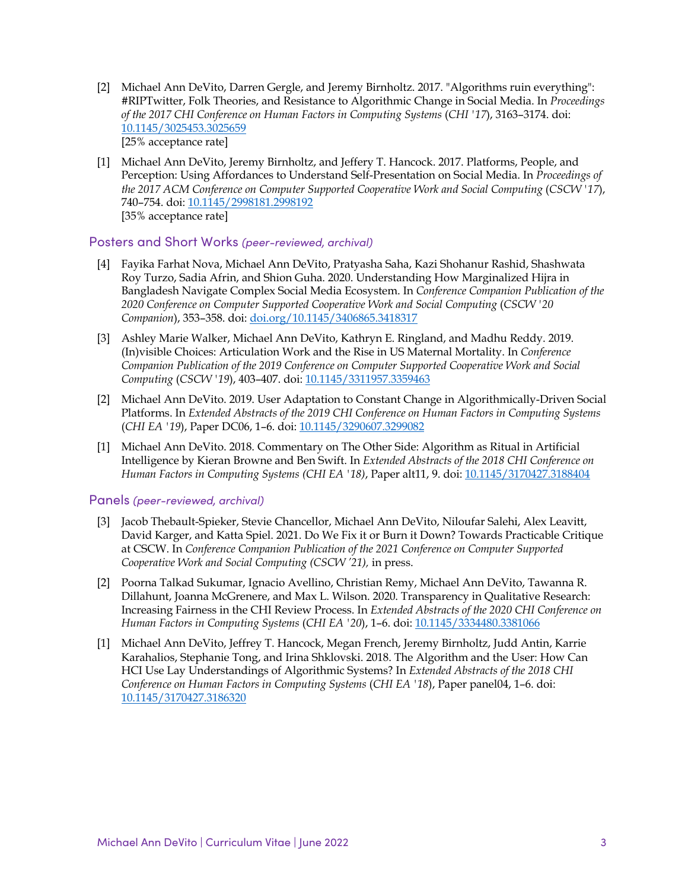- [2] Michael Ann DeVito, Darren Gergle, and Jeremy Birnholtz. 2017. "Algorithms ruin everything": #RIPTwitter, Folk Theories, and Resistance to Algorithmic Change in Social Media. In *Proceedings of the 2017 CHI Conference on Human Factors in Computing Systems* (*CHI '17*), 3163–3174. doi: 10.1145/3025453.3025659 [25% acceptance rate]
- [1] Michael Ann DeVito, Jeremy Birnholtz, and Jeffery T. Hancock. 2017. Platforms, People, and Perception: Using Affordances to Understand Self-Presentation on Social Media. In *Proceedings of the 2017 ACM Conference on Computer Supported Cooperative Work and Social Computing* (*CSCW '17*), 740–754. doi: 10.1145/2998181.2998192 [35% acceptance rate]

#### Posters and Short Works *(peer-reviewed, archival)*

- [4] Fayika Farhat Nova, Michael Ann DeVito, Pratyasha Saha, Kazi Shohanur Rashid, Shashwata Roy Turzo, Sadia Afrin, and Shion Guha. 2020. Understanding How Marginalized Hijra in Bangladesh Navigate Complex Social Media Ecosystem. In *Conference Companion Publication of the 2020 Conference on Computer Supported Cooperative Work and Social Computing* (*CSCW '20 Companion*), 353–358. doi: doi.org/10.1145/3406865.3418317
- [3] Ashley Marie Walker, Michael Ann DeVito, Kathryn E. Ringland, and Madhu Reddy. 2019. (In)visible Choices: Articulation Work and the Rise in US Maternal Mortality. In *Conference Companion Publication of the 2019 Conference on Computer Supported Cooperative Work and Social Computing* (*CSCW '19*), 403–407. doi: 10.1145/3311957.3359463
- [2] Michael Ann DeVito. 2019. User Adaptation to Constant Change in Algorithmically-Driven Social Platforms. In *Extended Abstracts of the 2019 CHI Conference on Human Factors in Computing Systems* (*CHI EA '19*), Paper DC06, 1–6. doi: 10.1145/3290607.3299082
- [1] Michael Ann DeVito. 2018. Commentary on The Other Side: Algorithm as Ritual in Artificial Intelligence by Kieran Browne and Ben Swift. In *Extended Abstracts of the 2018 CHI Conference on Human Factors in Computing Systems (CHI EA '18)*, Paper alt11, 9. doi: 10.1145/3170427.3188404

## Panels *(peer-reviewed, archival)*

- [3] Jacob Thebault-Spieker, Stevie Chancellor, Michael Ann DeVito, Niloufar Salehi, Alex Leavitt, David Karger, and Katta Spiel. 2021. Do We Fix it or Burn it Down? Towards Practicable Critique at CSCW. In *Conference Companion Publication of the 2021 Conference on Computer Supported Cooperative Work and Social Computing (CSCW '21),* in press.
- [2] Poorna Talkad Sukumar, Ignacio Avellino, Christian Remy, Michael Ann DeVito, Tawanna R. Dillahunt, Joanna McGrenere, and Max L. Wilson. 2020. Transparency in Qualitative Research: Increasing Fairness in the CHI Review Process. In *Extended Abstracts of the 2020 CHI Conference on Human Factors in Computing Systems* (*CHI EA '20*), 1–6. doi: 10.1145/3334480.3381066
- [1] Michael Ann DeVito, Jeffrey T. Hancock, Megan French, Jeremy Birnholtz, Judd Antin, Karrie Karahalios, Stephanie Tong, and Irina Shklovski. 2018. The Algorithm and the User: How Can HCI Use Lay Understandings of Algorithmic Systems? In *Extended Abstracts of the 2018 CHI Conference on Human Factors in Computing Systems* (*CHI EA '18*), Paper panel04, 1–6. doi: 10.1145/3170427.3186320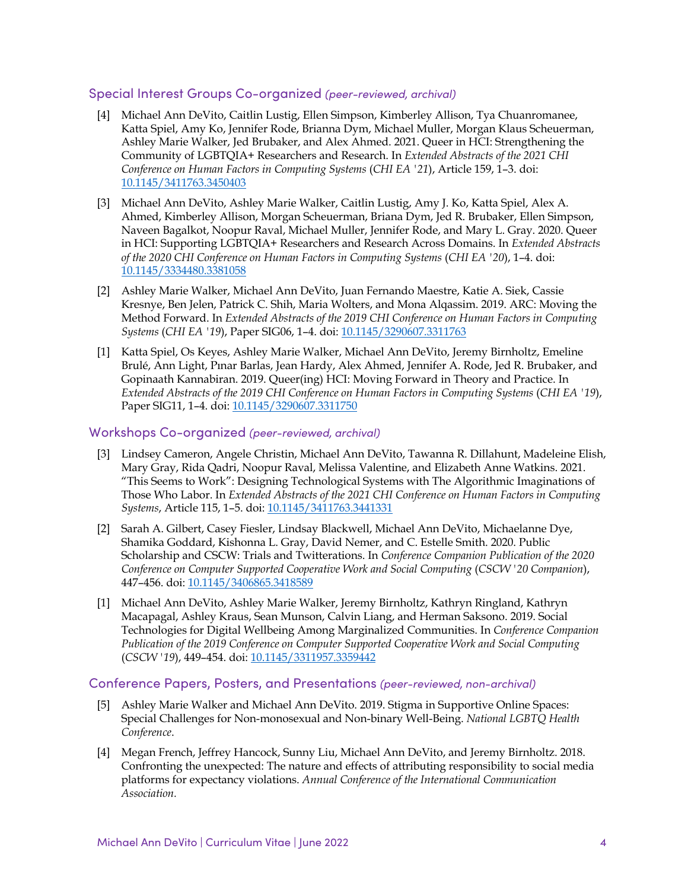## Special Interest Groups Co-organized *(peer-reviewed, archival)*

- [4] Michael Ann DeVito, Caitlin Lustig, Ellen Simpson, Kimberley Allison, Tya Chuanromanee, Katta Spiel, Amy Ko, Jennifer Rode, Brianna Dym, Michael Muller, Morgan Klaus Scheuerman, Ashley Marie Walker, Jed Brubaker, and Alex Ahmed. 2021. Queer in HCI: Strengthening the Community of LGBTQIA+ Researchers and Research. In *Extended Abstracts of the 2021 CHI Conference on Human Factors in Computing Systems* (*CHI EA '21*), Article 159, 1–3. doi: 10.1145/3411763.3450403
- [3] Michael Ann DeVito, Ashley Marie Walker, Caitlin Lustig, Amy J. Ko, Katta Spiel, Alex A. Ahmed, Kimberley Allison, Morgan Scheuerman, Briana Dym, Jed R. Brubaker, Ellen Simpson, Naveen Bagalkot, Noopur Raval, Michael Muller, Jennifer Rode, and Mary L. Gray. 2020. Queer in HCI: Supporting LGBTQIA+ Researchers and Research Across Domains. In *Extended Abstracts of the 2020 CHI Conference on Human Factors in Computing Systems* (*CHI EA '20*), 1–4. doi: 10.1145/3334480.3381058
- [2] Ashley Marie Walker, Michael Ann DeVito, Juan Fernando Maestre, Katie A. Siek, Cassie Kresnye, Ben Jelen, Patrick C. Shih, Maria Wolters, and Mona Alqassim. 2019. ARC: Moving the Method Forward. In *Extended Abstracts of the 2019 CHI Conference on Human Factors in Computing Systems* (*CHI EA '19*), Paper SIG06, 1–4. doi: 10.1145/3290607.3311763
- [1] Katta Spiel, Os Keyes, Ashley Marie Walker, Michael Ann DeVito, Jeremy Birnholtz, Emeline Brulé, Ann Light, Pınar Barlas, Jean Hardy, Alex Ahmed, Jennifer A. Rode, Jed R. Brubaker, and Gopinaath Kannabiran. 2019. Queer(ing) HCI: Moving Forward in Theory and Practice. In *Extended Abstracts of the 2019 CHI Conference on Human Factors in Computing Systems* (*CHI EA '19*), Paper SIG11, 1–4. doi: 10.1145/3290607.3311750

## Workshops Co-organized *(peer-reviewed, archival)*

- [3] Lindsey Cameron, Angele Christin, Michael Ann DeVito, Tawanna R. Dillahunt, Madeleine Elish, Mary Gray, Rida Qadri, Noopur Raval, Melissa Valentine, and Elizabeth Anne Watkins. 2021. "This Seems to Work": Designing Technological Systems with The Algorithmic Imaginations of Those Who Labor. In *Extended Abstracts of the 2021 CHI Conference on Human Factors in Computing Systems*, Article 115, 1–5. doi: 10.1145/3411763.3441331
- [2] Sarah A. Gilbert, Casey Fiesler, Lindsay Blackwell, Michael Ann DeVito, Michaelanne Dye, Shamika Goddard, Kishonna L. Gray, David Nemer, and C. Estelle Smith. 2020. Public Scholarship and CSCW: Trials and Twitterations. In *Conference Companion Publication of the 2020 Conference on Computer Supported Cooperative Work and Social Computing* (*CSCW '20 Companion*), 447–456. doi: 10.1145/3406865.3418589
- [1] Michael Ann DeVito, Ashley Marie Walker, Jeremy Birnholtz, Kathryn Ringland, Kathryn Macapagal, Ashley Kraus, Sean Munson, Calvin Liang, and Herman Saksono. 2019. Social Technologies for Digital Wellbeing Among Marginalized Communities. In *Conference Companion Publication of the 2019 Conference on Computer Supported Cooperative Work and Social Computing* (*CSCW '19*), 449–454. doi: 10.1145/3311957.3359442

#### Conference Papers, Posters, and Presentations *(peer-reviewed, non-archival)*

- [5] Ashley Marie Walker and Michael Ann DeVito. 2019. Stigma in Supportive Online Spaces: Special Challenges for Non-monosexual and Non-binary Well-Being. *National LGBTQ Health Conference*.
- [4] Megan French, Jeffrey Hancock, Sunny Liu, Michael Ann DeVito, and Jeremy Birnholtz. 2018. Confronting the unexpected: The nature and effects of attributing responsibility to social media platforms for expectancy violations. *Annual Conference of the International Communication Association.*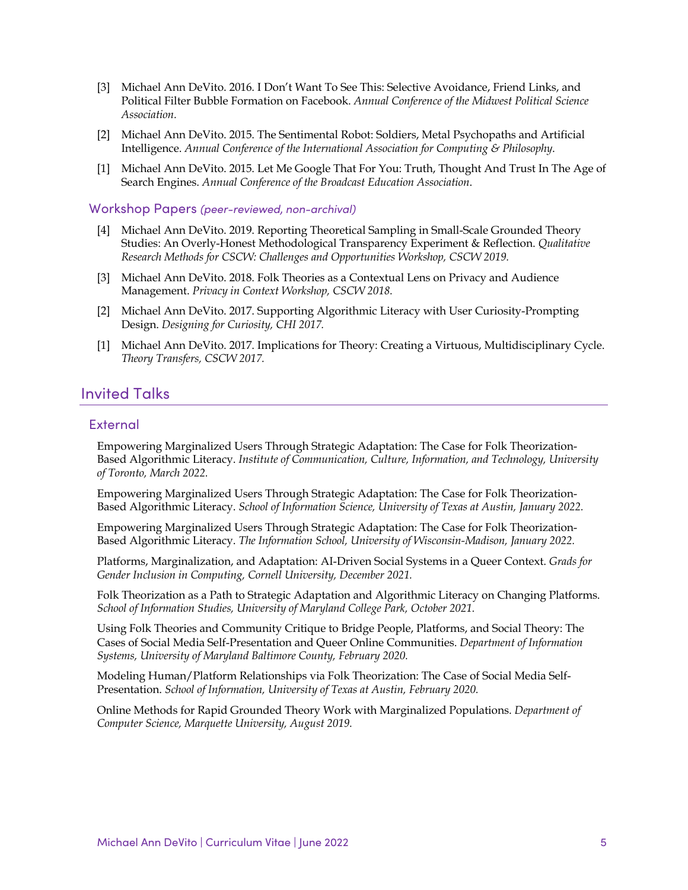- [3] Michael Ann DeVito. 2016. I Don't Want To See This: Selective Avoidance, Friend Links, and Political Filter Bubble Formation on Facebook. *Annual Conference of the Midwest Political Science Association.*
- [2] Michael Ann DeVito. 2015. The Sentimental Robot: Soldiers, Metal Psychopaths and Artificial Intelligence. *Annual Conference of the International Association for Computing & Philosophy*.
- [1] Michael Ann DeVito. 2015. Let Me Google That For You: Truth, Thought And Trust In The Age of Search Engines. *Annual Conference of the Broadcast Education Association*.

#### Workshop Papers *(peer-reviewed, non-archival)*

- [4] Michael Ann DeVito. 2019. Reporting Theoretical Sampling in Small-Scale Grounded Theory Studies: An Overly-Honest Methodological Transparency Experiment & Reflection. *Qualitative Research Methods for CSCW: Challenges and Opportunities Workshop, CSCW 2019.*
- [3] Michael Ann DeVito. 2018. Folk Theories as a Contextual Lens on Privacy and Audience Management. *Privacy in Context Workshop, CSCW 2018.*
- [2] Michael Ann DeVito. 2017. Supporting Algorithmic Literacy with User Curiosity-Prompting Design. *Designing for Curiosity, CHI 2017.*
- [1] Michael Ann DeVito. 2017. Implications for Theory: Creating a Virtuous, Multidisciplinary Cycle. *Theory Transfers, CSCW 2017.*

## Invited Talks

#### **External**

Empowering Marginalized Users Through Strategic Adaptation: The Case for Folk Theorization-Based Algorithmic Literacy. *Institute of Communication, Culture, Information, and Technology, University of Toronto, March 2022.*

Empowering Marginalized Users Through Strategic Adaptation: The Case for Folk Theorization-Based Algorithmic Literacy. *School of Information Science, University of Texas at Austin, January 2022.*

Empowering Marginalized Users Through Strategic Adaptation: The Case for Folk Theorization-Based Algorithmic Literacy. *The Information School, University of Wisconsin-Madison, January 2022.*

Platforms, Marginalization, and Adaptation: AI-Driven Social Systems in a Queer Context. *Grads for Gender Inclusion in Computing, Cornell University, December 2021.*

Folk Theorization as a Path to Strategic Adaptation and Algorithmic Literacy on Changing Platforms. *School of Information Studies, University of Maryland College Park, October 2021.*

Using Folk Theories and Community Critique to Bridge People, Platforms, and Social Theory: The Cases of Social Media Self-Presentation and Queer Online Communities. *Department of Information Systems, University of Maryland Baltimore County, February 2020.*

Modeling Human/Platform Relationships via Folk Theorization: The Case of Social Media Self-Presentation. *School of Information, University of Texas at Austin, February 2020.*

Online Methods for Rapid Grounded Theory Work with Marginalized Populations. *Department of Computer Science, Marquette University, August 2019.*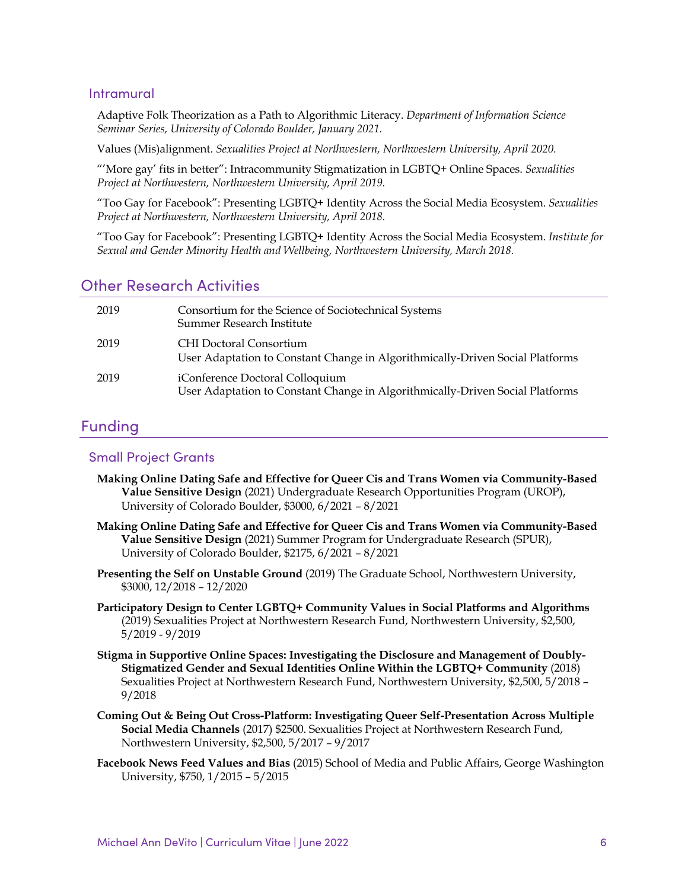#### **Intramural**

Adaptive Folk Theorization as a Path to Algorithmic Literacy. *Department of Information Science Seminar Series, University of Colorado Boulder, January 2021.*

Values (Mis)alignment. *Sexualities Project at Northwestern, Northwestern University, April 2020.*

"'More gay' fits in better": Intracommunity Stigmatization in LGBTQ+ Online Spaces. *Sexualities Project at Northwestern, Northwestern University, April 2019.*

"Too Gay for Facebook": Presenting LGBTQ+ Identity Across the Social Media Ecosystem. *Sexualities Project at Northwestern, Northwestern University, April 2018.*

"Too Gay for Facebook": Presenting LGBTQ+ Identity Across the Social Media Ecosystem. *Institute for Sexual and Gender Minority Health and Wellbeing, Northwestern University, March 2018.*

# Other Research Activities

| 2019 | Consortium for the Science of Sociotechnical Systems<br>Summer Research Institute                                |
|------|------------------------------------------------------------------------------------------------------------------|
| 2019 | CHI Doctoral Consortium<br>User Adaptation to Constant Change in Algorithmically-Driven Social Platforms         |
| 2019 | iConference Doctoral Colloquium<br>User Adaptation to Constant Change in Algorithmically-Driven Social Platforms |

# Funding

#### Small Project Grants

- **Making Online Dating Safe and Effective for Queer Cis and Trans Women via Community-Based Value Sensitive Design** (2021) Undergraduate Research Opportunities Program (UROP), University of Colorado Boulder, \$3000, 6/2021 – 8/2021
- **Making Online Dating Safe and Effective for Queer Cis and Trans Women via Community-Based Value Sensitive Design** (2021) Summer Program for Undergraduate Research (SPUR), University of Colorado Boulder, \$2175, 6/2021 – 8/2021
- **Presenting the Self on Unstable Ground** (2019) The Graduate School, Northwestern University, \$3000, 12/2018 – 12/2020
- **Participatory Design to Center LGBTQ+ Community Values in Social Platforms and Algorithms**  (2019) Sexualities Project at Northwestern Research Fund, Northwestern University, \$2,500, 5/2019 - 9/2019
- **Stigma in Supportive Online Spaces: Investigating the Disclosure and Management of Doubly-Stigmatized Gender and Sexual Identities Online Within the LGBTQ+ Community** (2018) Sexualities Project at Northwestern Research Fund, Northwestern University, \$2,500, 5/2018 – 9/2018
- **Coming Out & Being Out Cross-Platform: Investigating Queer Self-Presentation Across Multiple Social Media Channels** (2017) \$2500. Sexualities Project at Northwestern Research Fund, Northwestern University, \$2,500, 5/2017 – 9/2017
- **Facebook News Feed Values and Bias** (2015) School of Media and Public Affairs, George Washington University, \$750, 1/2015 – 5/2015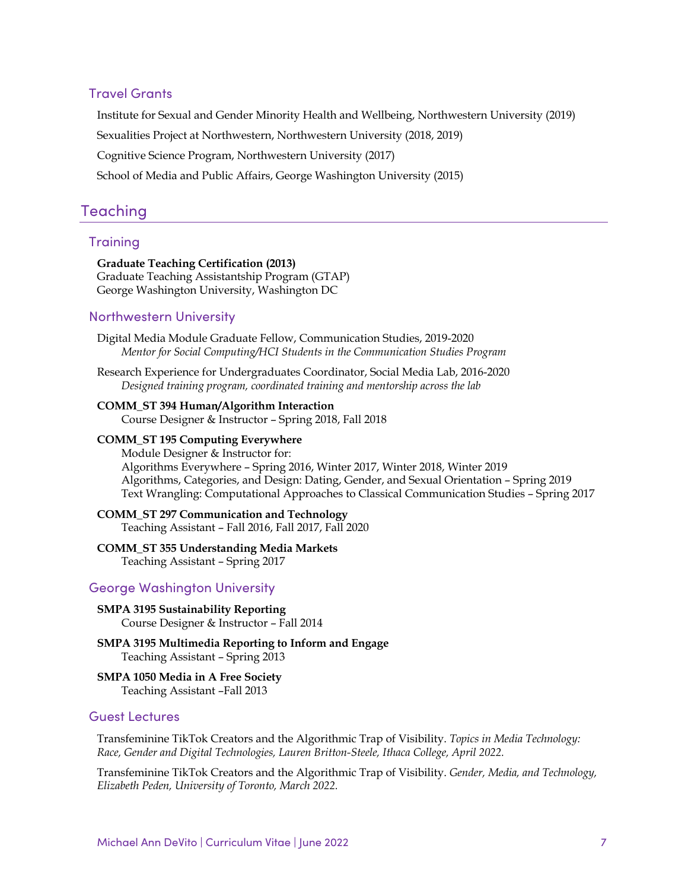# Travel Grants

Institute for Sexual and Gender Minority Health and Wellbeing, Northwestern University (2019)

Sexualities Project at Northwestern, Northwestern University (2018, 2019)

Cognitive Science Program, Northwestern University (2017)

School of Media and Public Affairs, George Washington University (2015)

# Teaching

## **Training**

**Graduate Teaching Certification (2013)** Graduate Teaching Assistantship Program (GTAP) George Washington University, Washington DC

## Northwestern University

Digital Media Module Graduate Fellow, Communication Studies, 2019-2020 *Mentor for Social Computing/HCI Students in the Communication Studies Program*

Research Experience for Undergraduates Coordinator, Social Media Lab, 2016-2020 *Designed training program, coordinated training and mentorship across the lab*

#### **COMM\_ST 394 Human/Algorithm Interaction**

Course Designer & Instructor – Spring 2018, Fall 2018

## **COMM\_ST 195 Computing Everywhere**

Module Designer & Instructor for: Algorithms Everywhere – Spring 2016, Winter 2017, Winter 2018, Winter 2019 Algorithms, Categories, and Design: Dating, Gender, and Sexual Orientation – Spring 2019 Text Wrangling: Computational Approaches to Classical Communication Studies – Spring 2017

## **COMM\_ST 297 Communication and Technology**

Teaching Assistant – Fall 2016, Fall 2017, Fall 2020

#### **COMM\_ST 355 Understanding Media Markets**

Teaching Assistant – Spring 2017

#### George Washington University

- **SMPA 3195 Sustainability Reporting** Course Designer & Instructor – Fall 2014
- **SMPA 3195 Multimedia Reporting to Inform and Engage** Teaching Assistant – Spring 2013
- **SMPA 1050 Media in A Free Society** Teaching Assistant –Fall 2013

## Guest Lectures

Transfeminine TikTok Creators and the Algorithmic Trap of Visibility. *Topics in Media Technology: Race, Gender and Digital Technologies, Lauren Britton-Steele, Ithaca College, April 2022.*

Transfeminine TikTok Creators and the Algorithmic Trap of Visibility. *Gender, Media, and Technology, Elizabeth Peden, University of Toronto, March 2022.*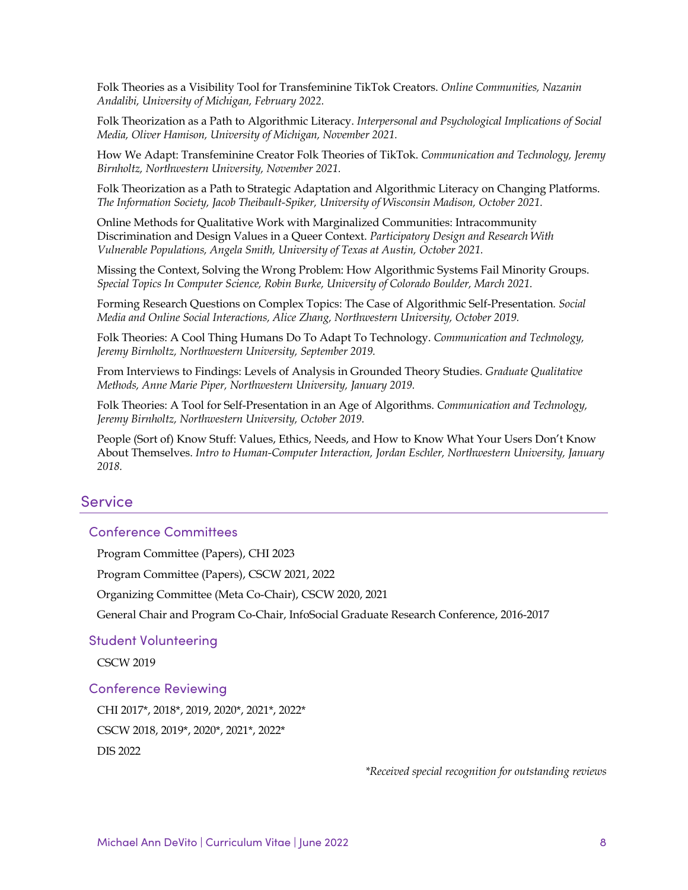Folk Theories as a Visibility Tool for Transfeminine TikTok Creators. *Online Communities, Nazanin Andalibi, University of Michigan, February 2022.*

Folk Theorization as a Path to Algorithmic Literacy. *Interpersonal and Psychological Implications of Social Media, Oliver Hamison, University of Michigan, November 2021.*

How We Adapt: Transfeminine Creator Folk Theories of TikTok. *Communication and Technology, Jeremy Birnholtz, Northwestern University, November 2021.*

Folk Theorization as a Path to Strategic Adaptation and Algorithmic Literacy on Changing Platforms. *The Information Society, Jacob Theibault-Spiker, University of Wisconsin Madison, October 2021.*

Online Methods for Qualitative Work with Marginalized Communities: Intracommunity Discrimination and Design Values in a Queer Context. *Participatory Design and Research With Vulnerable Populations, Angela Smith, University of Texas at Austin, October 2021.*

Missing the Context, Solving the Wrong Problem: How Algorithmic Systems Fail Minority Groups. *Special Topics In Computer Science, Robin Burke, University of Colorado Boulder, March 2021.*

Forming Research Questions on Complex Topics: The Case of Algorithmic Self-Presentation*. Social Media and Online Social Interactions, Alice Zhang, Northwestern University, October 2019.*

Folk Theories: A Cool Thing Humans Do To Adapt To Technology. *Communication and Technology, Jeremy Birnholtz, Northwestern University, September 2019.*

From Interviews to Findings: Levels of Analysis in Grounded Theory Studies. *Graduate Qualitative Methods, Anne Marie Piper, Northwestern University, January 2019.*

Folk Theories: A Tool for Self-Presentation in an Age of Algorithms. *Communication and Technology, Jeremy Birnholtz, Northwestern University, October 2019.*

People (Sort of) Know Stuff: Values, Ethics, Needs, and How to Know What Your Users Don't Know About Themselves. *Intro to Human-Computer Interaction, Jordan Eschler, Northwestern University, January 2018.*

# **Service**

## Conference Committees

Program Committee (Papers), CHI 2023

Program Committee (Papers), CSCW 2021, 2022

Organizing Committee (Meta Co-Chair), CSCW 2020, 2021

General Chair and Program Co-Chair, InfoSocial Graduate Research Conference, 2016-2017

#### Student Volunteering

CSCW 2019

#### Conference Reviewing

CHI 2017\*, 2018\*, 2019, 2020\*, 2021\*, 2022\* CSCW 2018, 2019\*, 2020\*, 2021\*, 2022\* DIS 2022

*\*Received special recognition for outstanding reviews*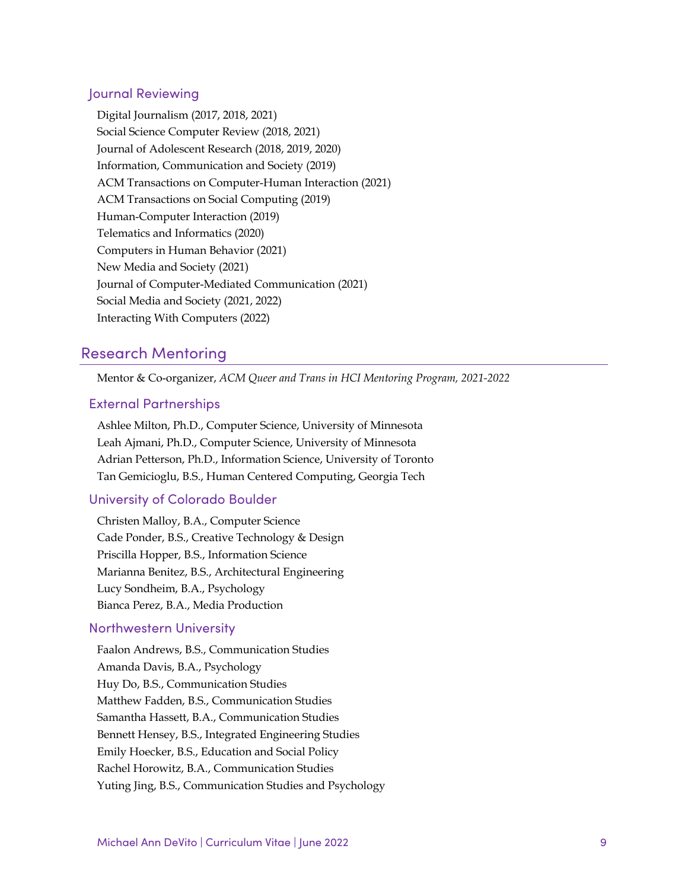## Journal Reviewing

Digital Journalism (2017, 2018, 2021) Social Science Computer Review (2018, 2021) Journal of Adolescent Research (2018, 2019, 2020) Information, Communication and Society (2019) ACM Transactions on Computer-Human Interaction (2021) ACM Transactions on Social Computing (2019) Human-Computer Interaction (2019) Telematics and Informatics (2020) Computers in Human Behavior (2021) New Media and Society (2021) Journal of Computer-Mediated Communication (2021) Social Media and Society (2021, 2022) Interacting With Computers (2022)

# Research Mentoring

Mentor & Co-organizer, *ACM Queer and Trans in HCI Mentoring Program, 2021-2022*

#### External Partnerships

Ashlee Milton, Ph.D., Computer Science, University of Minnesota Leah Ajmani, Ph.D., Computer Science, University of Minnesota Adrian Petterson, Ph.D., Information Science, University of Toronto Tan Gemicioglu, B.S., Human Centered Computing, Georgia Tech

## University of Colorado Boulder

Christen Malloy, B.A., Computer Science Cade Ponder, B.S., Creative Technology & Design Priscilla Hopper, B.S., Information Science Marianna Benitez, B.S., Architectural Engineering Lucy Sondheim, B.A., Psychology Bianca Perez, B.A., Media Production

#### Northwestern University

Faalon Andrews, B.S., Communication Studies Amanda Davis, B.A., Psychology Huy Do, B.S., Communication Studies Matthew Fadden, B.S., Communication Studies Samantha Hassett, B.A., Communication Studies Bennett Hensey, B.S., Integrated Engineering Studies Emily Hoecker, B.S., Education and Social Policy Rachel Horowitz, B.A., Communication Studies Yuting Jing, B.S., Communication Studies and Psychology